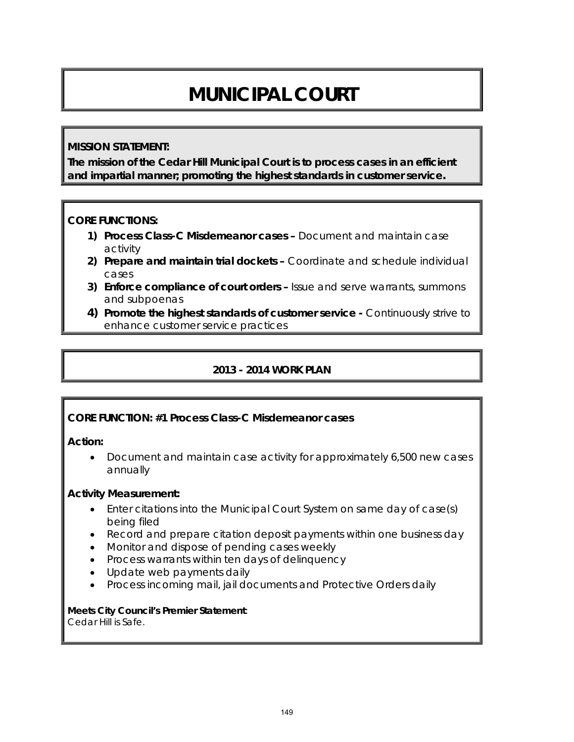# **MUNICIPAL COURT**

#### **MISSION STATEMENT:**

**The mission of the Cedar Hill Municipal Court is to process cases in an efficient and impartial manner; promoting the highest standards in customer service.**

#### **CORE FUNCTIONS:**

- **1) Process Class-C Misdemeanor cases** Document and maintain case activity
- **2) Prepare and maintain trial dockets** Coordinate and schedule individual cases
- **3) Enforce compliance of court orders** Issue and serve warrants, summons and subpoenas
- **4) Promote the highest standards of customer service -** Continuously strive to enhance customer service practices

## **2013 - 2014 WORK PLAN**

#### **CORE FUNCTION: #1 Process Class-C Misdemeanor cases**

#### **Action:**

• Document and maintain case activity for approximately 6,500 new cases annually

#### **Activity Measurement:**

- Enter citations into the Municipal Court System on same day of case(s) being filed
- Record and prepare citation deposit payments within one business day
- Monitor and dispose of pending cases weekly
- Process warrants within ten days of delinquency
- Update web payments daily
- Process incoming mail, jail documents and Protective Orders daily

**Meets City Council's Premier Statement**: Cedar Hill is Safe.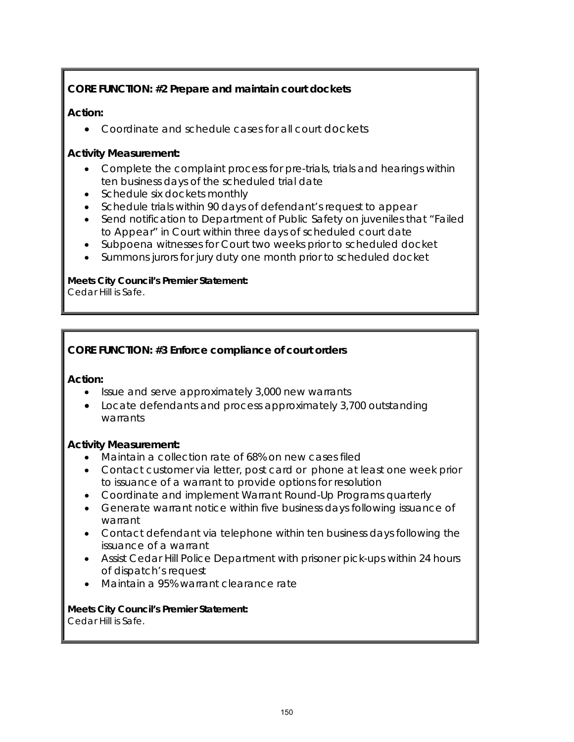# **CORE FUNCTION: #2 Prepare and maintain court dockets**

## **Action:**

• Coordinate and schedule cases for all court dockets

## **Activity Measurement:**

- Complete the complaint process for pre-trials, trials and hearings within ten business days of the scheduled trial date
- Schedule six dockets monthly
- Schedule trials within 90 days of defendant's request to appear
- Send notification to Department of Public Safety on juveniles that "Failed to Appear" in Court within three days of scheduled court date
- Subpoena witnesses for Court two weeks prior to scheduled docket
- Summons jurors for jury duty one month prior to scheduled docket

#### **Meets City Council's Premier Statement:**

Cedar Hill is Safe.

# **CORE FUNCTION: #3 Enforce compliance of court orders**

#### **Action:**

- Issue and serve approximately 3,000 new warrants
- Locate defendants and process approximately 3,700 outstanding warrants

## **Activity Measurement:**

- Maintain a collection rate of 68% on new cases filed
- Contact customer via letter, post card or phone at least one week prior to issuance of a warrant to provide options for resolution
- Coordinate and implement Warrant Round-Up Programs quarterly
- Generate warrant notice within five business days following issuance of warrant
- Contact defendant via telephone within ten business days following the issuance of a warrant
- Assist Cedar Hill Police Department with prisoner pick-ups within 24 hours of dispatch's request
- Maintain a 95% warrant clearance rate

**Meets City Council's Premier Statement:** Cedar Hill is Safe.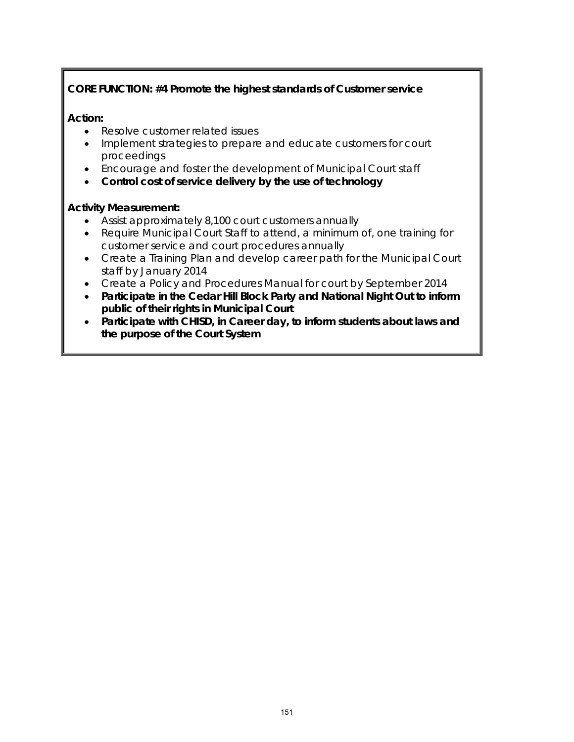# **CORE FUNCTION: #4 Promote the highest standards of Customer service**

## **Action:**

- Resolve customer related issues
- Implement strategies to prepare and educate customers for court proceedings
- Encourage and foster the development of Municipal Court staff
- **Control cost of service delivery by the use of technology**

## **Activity Measurement:**

- Assist approximately 8,100 court customers annually
- Require Municipal Court Staff to attend, a minimum of, one training for customer service and court procedures annually
- Create a Training Plan and develop career path for the Municipal Court staff by January 2014
- Create a Policy and Procedures Manual for court by September 2014
- **Participate in the Cedar Hill Block Party and National Night Out to inform public of their rights in Municipal Court**
- **Participate with CHISD, in Career day, to inform students about laws and the purpose of the Court System**